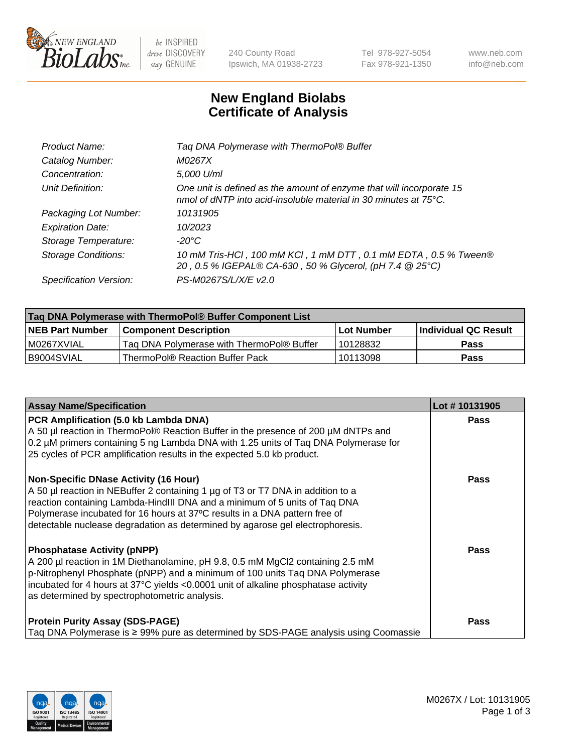

 $be$  INSPIRED drive DISCOVERY stay GENUINE

240 County Road Ipswich, MA 01938-2723 Tel 978-927-5054 Fax 978-921-1350 www.neb.com info@neb.com

## **New England Biolabs Certificate of Analysis**

| Tag DNA Polymerase with ThermoPol® Buffer                                                                                                |
|------------------------------------------------------------------------------------------------------------------------------------------|
| M0267X                                                                                                                                   |
| 5,000 U/ml                                                                                                                               |
| One unit is defined as the amount of enzyme that will incorporate 15<br>nmol of dNTP into acid-insoluble material in 30 minutes at 75°C. |
| 10131905                                                                                                                                 |
| 10/2023                                                                                                                                  |
| $-20^{\circ}$ C                                                                                                                          |
| 10 mM Tris-HCl, 100 mM KCl, 1 mM DTT, 0.1 mM EDTA, 0.5 % Tween®<br>20, 0.5 % IGEPAL® CA-630, 50 % Glycerol, (pH 7.4 @ 25°C)              |
| PS-M0267S/L/X/E v2.0                                                                                                                     |
|                                                                                                                                          |

| Tag DNA Polymerase with ThermoPol® Buffer Component List |                                           |                   |                      |  |  |
|----------------------------------------------------------|-------------------------------------------|-------------------|----------------------|--|--|
| <b>NEB Part Number</b>                                   | Component Description_                    | <b>Lot Number</b> | Individual QC Result |  |  |
| I M0267XVIAL                                             | Tag DNA Polymerase with ThermoPol® Buffer | 10128832          | Pass                 |  |  |
| B9004SVIAL                                               | ThermoPol® Reaction Buffer Pack           | 10113098          | Pass                 |  |  |

| <b>Assay Name/Specification</b>                                                                                                                                                                                                                                                                                                                                              | Lot #10131905 |
|------------------------------------------------------------------------------------------------------------------------------------------------------------------------------------------------------------------------------------------------------------------------------------------------------------------------------------------------------------------------------|---------------|
| PCR Amplification (5.0 kb Lambda DNA)<br>A 50 µl reaction in ThermoPol® Reaction Buffer in the presence of 200 µM dNTPs and<br>0.2 µM primers containing 5 ng Lambda DNA with 1.25 units of Taq DNA Polymerase for<br>25 cycles of PCR amplification results in the expected 5.0 kb product.                                                                                 | <b>Pass</b>   |
| <b>Non-Specific DNase Activity (16 Hour)</b><br>A 50 µl reaction in NEBuffer 2 containing 1 µg of T3 or T7 DNA in addition to a<br>reaction containing Lambda-HindIII DNA and a minimum of 5 units of Taq DNA<br>Polymerase incubated for 16 hours at 37°C results in a DNA pattern free of<br>detectable nuclease degradation as determined by agarose gel electrophoresis. | <b>Pass</b>   |
| <b>Phosphatase Activity (pNPP)</b><br>A 200 µl reaction in 1M Diethanolamine, pH 9.8, 0.5 mM MgCl2 containing 2.5 mM<br>p-Nitrophenyl Phosphate (pNPP) and a minimum of 100 units Taq DNA Polymerase<br>incubated for 4 hours at 37°C yields <0.0001 unit of alkaline phosphatase activity<br>as determined by spectrophotometric analysis.                                  | Pass          |
| <b>Protein Purity Assay (SDS-PAGE)</b><br>Taq DNA Polymerase is ≥ 99% pure as determined by SDS-PAGE analysis using Coomassie                                                                                                                                                                                                                                                | <b>Pass</b>   |

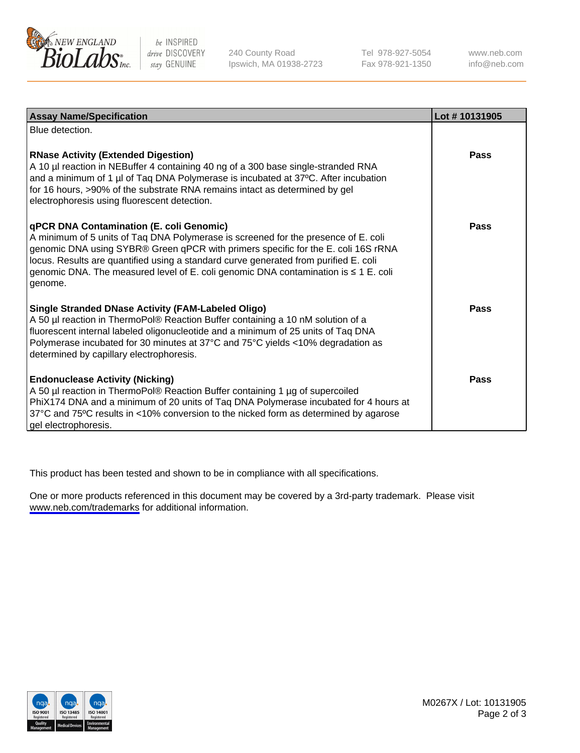

be INSPIRED drive DISCOVERY stay GENUINE

240 County Road Ipswich, MA 01938-2723 Tel 978-927-5054 Fax 978-921-1350

www.neb.com info@neb.com

| <b>Assay Name/Specification</b>                                                                                                                                                                                                                                                                                                                                                                               | Lot #10131905 |
|---------------------------------------------------------------------------------------------------------------------------------------------------------------------------------------------------------------------------------------------------------------------------------------------------------------------------------------------------------------------------------------------------------------|---------------|
| Blue detection.                                                                                                                                                                                                                                                                                                                                                                                               |               |
| <b>RNase Activity (Extended Digestion)</b><br>A 10 µl reaction in NEBuffer 4 containing 40 ng of a 300 base single-stranded RNA<br>and a minimum of 1 $\mu$ of Taq DNA Polymerase is incubated at 37 $\degree$ C. After incubation<br>for 16 hours, >90% of the substrate RNA remains intact as determined by gel<br>electrophoresis using fluorescent detection.                                             | <b>Pass</b>   |
| qPCR DNA Contamination (E. coli Genomic)<br>A minimum of 5 units of Taq DNA Polymerase is screened for the presence of E. coli<br>genomic DNA using SYBR® Green qPCR with primers specific for the E. coli 16S rRNA<br>locus. Results are quantified using a standard curve generated from purified E. coli<br>genomic DNA. The measured level of E. coli genomic DNA contamination is ≤ 1 E. coli<br>genome. | Pass          |
| <b>Single Stranded DNase Activity (FAM-Labeled Oligo)</b><br>A 50 µl reaction in ThermoPol® Reaction Buffer containing a 10 nM solution of a<br>fluorescent internal labeled oligonucleotide and a minimum of 25 units of Taq DNA<br>Polymerase incubated for 30 minutes at 37°C and 75°C yields <10% degradation as<br>determined by capillary electrophoresis.                                              | Pass          |
| <b>Endonuclease Activity (Nicking)</b><br>A 50 µl reaction in ThermoPol® Reaction Buffer containing 1 µg of supercoiled<br>PhiX174 DNA and a minimum of 20 units of Taq DNA Polymerase incubated for 4 hours at<br>37°C and 75°C results in <10% conversion to the nicked form as determined by agarose<br>gel electrophoresis.                                                                               | Pass          |

This product has been tested and shown to be in compliance with all specifications.

One or more products referenced in this document may be covered by a 3rd-party trademark. Please visit <www.neb.com/trademarks>for additional information.